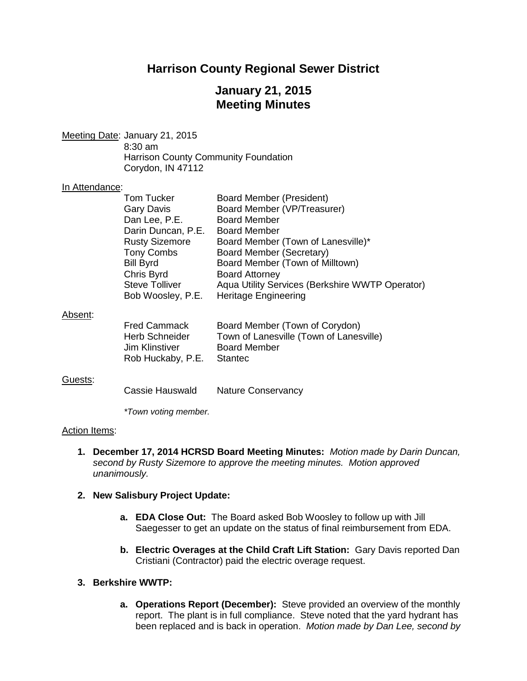# **Harrison County Regional Sewer District**

# **January 21, 2015 Meeting Minutes**

Meeting Date: January 21, 2015 8:30 am Harrison County Community Foundation Corydon, IN 47112

## In Attendance:

|         | <b>Tom Tucker</b><br>Gary Davis<br>Dan Lee, P.E.<br>Darin Duncan, P.E.<br><b>Rusty Sizemore</b><br><b>Tony Combs</b><br><b>Bill Byrd</b> | Board Member (President)<br>Board Member (VP/Treasurer)<br><b>Board Member</b><br><b>Board Member</b><br>Board Member (Town of Lanesville)*<br>Board Member (Secretary)<br>Board Member (Town of Milltown) |
|---------|------------------------------------------------------------------------------------------------------------------------------------------|------------------------------------------------------------------------------------------------------------------------------------------------------------------------------------------------------------|
|         | Chris Byrd                                                                                                                               | <b>Board Attorney</b>                                                                                                                                                                                      |
|         | <b>Steve Tolliver</b><br>Bob Woosley, P.E.                                                                                               | Aqua Utility Services (Berkshire WWTP Operator)<br><b>Heritage Engineering</b>                                                                                                                             |
| Absent: |                                                                                                                                          |                                                                                                                                                                                                            |
|         | <b>Fred Cammack</b><br>Herb Schneider<br>Jim Klinstiver<br>Rob Huckaby, P.E.                                                             | Board Member (Town of Corydon)<br>Town of Lanesville (Town of Lanesville)<br><b>Board Member</b><br><b>Stantec</b>                                                                                         |

## Guests:

*\*Town voting member.*

## Action Items:

**1. December 17, 2014 HCRSD Board Meeting Minutes:** *Motion made by Darin Duncan, second by Rusty Sizemore to approve the meeting minutes. Motion approved unanimously.*

## **2. New Salisbury Project Update:**

- **a. EDA Close Out:** The Board asked Bob Woosley to follow up with Jill Saegesser to get an update on the status of final reimbursement from EDA.
- **b. Electric Overages at the Child Craft Lift Station:** Gary Davis reported Dan Cristiani (Contractor) paid the electric overage request.
- **3. Berkshire WWTP:**
	- **a. Operations Report (December):** Steve provided an overview of the monthly report. The plant is in full compliance. Steve noted that the yard hydrant has been replaced and is back in operation. *Motion made by Dan Lee, second by*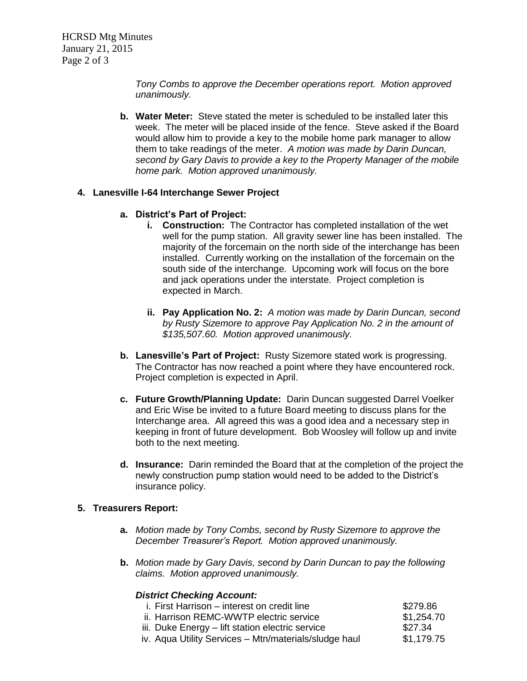*Tony Combs to approve the December operations report. Motion approved unanimously.*

**b. Water Meter:** Steve stated the meter is scheduled to be installed later this week. The meter will be placed inside of the fence. Steve asked if the Board would allow him to provide a key to the mobile home park manager to allow them to take readings of the meter. *A motion was made by Darin Duncan, second by Gary Davis to provide a key to the Property Manager of the mobile home park. Motion approved unanimously.*

## **4. Lanesville I-64 Interchange Sewer Project**

## **a. District's Part of Project:**

- **i. Construction:** The Contractor has completed installation of the wet well for the pump station. All gravity sewer line has been installed. The majority of the forcemain on the north side of the interchange has been installed. Currently working on the installation of the forcemain on the south side of the interchange. Upcoming work will focus on the bore and jack operations under the interstate. Project completion is expected in March.
- **ii. Pay Application No. 2:** *A motion was made by Darin Duncan, second by Rusty Sizemore to approve Pay Application No. 2 in the amount of \$135,507.60. Motion approved unanimously.*
- **b. Lanesville's Part of Project:** Rusty Sizemore stated work is progressing. The Contractor has now reached a point where they have encountered rock. Project completion is expected in April.
- **c. Future Growth/Planning Update:** Darin Duncan suggested Darrel Voelker and Eric Wise be invited to a future Board meeting to discuss plans for the Interchange area. All agreed this was a good idea and a necessary step in keeping in front of future development. Bob Woosley will follow up and invite both to the next meeting.
- **d. Insurance:** Darin reminded the Board that at the completion of the project the newly construction pump station would need to be added to the District's insurance policy.

## **5. Treasurers Report:**

- **a.** *Motion made by Tony Combs, second by Rusty Sizemore to approve the December Treasurer's Report. Motion approved unanimously.*
- **b.** *Motion made by Gary Davis, second by Darin Duncan to pay the following claims. Motion approved unanimously.*

## *District Checking Account:*

| i. First Harrison – interest on credit line           | \$279.86   |
|-------------------------------------------------------|------------|
| ii. Harrison REMC-WWTP electric service               | \$1,254.70 |
| iii. Duke Energy – lift station electric service      | \$27.34    |
| iv. Aqua Utility Services – Mtn/materials/sludge haul | \$1,179.75 |